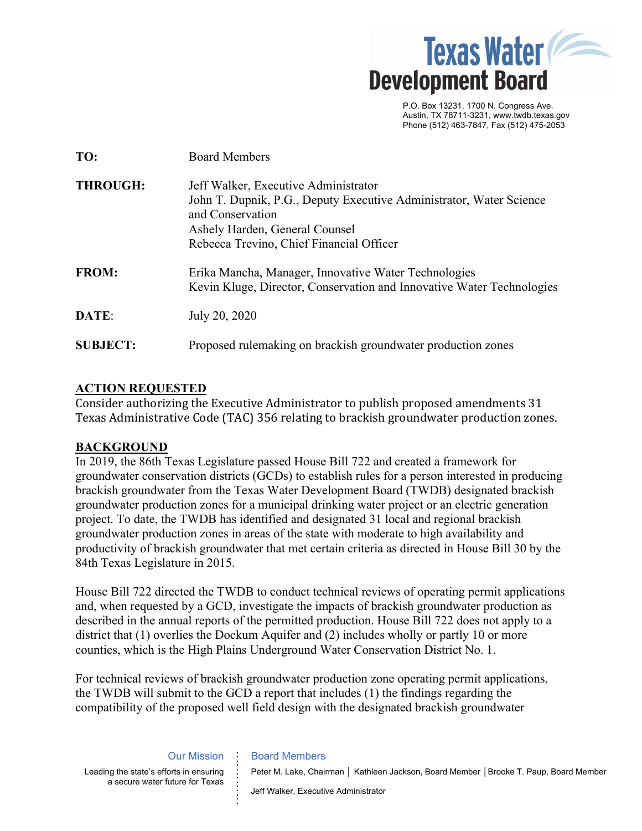

 P.O. Box 13231, 1700 N. Congress Ave. Austin, TX 78711-3231, www.twdb.texas.gov Phone (512) 463-7847, Fax (512) 475-2053

| TO:             | <b>Board Members</b>                                                                                                                                                                                          |
|-----------------|---------------------------------------------------------------------------------------------------------------------------------------------------------------------------------------------------------------|
| <b>THROUGH:</b> | Jeff Walker, Executive Administrator<br>John T. Dupnik, P.G., Deputy Executive Administrator, Water Science<br>and Conservation<br>Ashely Harden, General Counsel<br>Rebecca Trevino, Chief Financial Officer |
| <b>FROM:</b>    | Erika Mancha, Manager, Innovative Water Technologies<br>Kevin Kluge, Director, Conservation and Innovative Water Technologies                                                                                 |
| DATE:           | July 20, 2020                                                                                                                                                                                                 |
| <b>SUBJECT:</b> | Proposed rulemaking on brackish groundwater production zones                                                                                                                                                  |

# **ACTION REQUESTED**

Consider authorizing the Executive Administrator to publish proposed amendments 31 Texas Administrative Code (TAC) 356 relating to brackish groundwater production zones.

# **BACKGROUND**

In 2019, the 86th Texas Legislature passed House Bill 722 and created a framework for groundwater conservation districts (GCDs) to establish rules for a person interested in producing brackish groundwater from the Texas Water Development Board (TWDB) designated brackish groundwater production zones for a municipal drinking water project or an electric generation project. To date, the TWDB has identified and designated 31 local and regional brackish groundwater production zones in areas of the state with moderate to high availability and productivity of brackish groundwater that met certain criteria as directed in House Bill 30 by the 84th Texas Legislature in 2015.

House Bill 722 directed the TWDB to conduct technical reviews of operating permit applications and, when requested by a GCD, investigate the impacts of brackish groundwater production as described in the annual reports of the permitted production. House Bill 722 does not apply to a district that (1) overlies the Dockum Aquifer and (2) includes wholly or partly 10 or more counties, which is the High Plains Underground Water Conservation District No. 1.

For technical reviews of brackish groundwater production zone operating permit applications, the TWDB will submit to the GCD a report that includes (1) the findings regarding the compatibility of the proposed well field design with the designated brackish groundwater

> Our Mission **. . . .**

**. . . . . . . . .** 

Leading the state's efforts in ensuring a secure water future for Texas

#### Board Members

Peter M. Lake, Chairman | Kathleen Jackson, Board Member | Brooke T. Paup, Board Member

Jeff Walker, Executive Administrator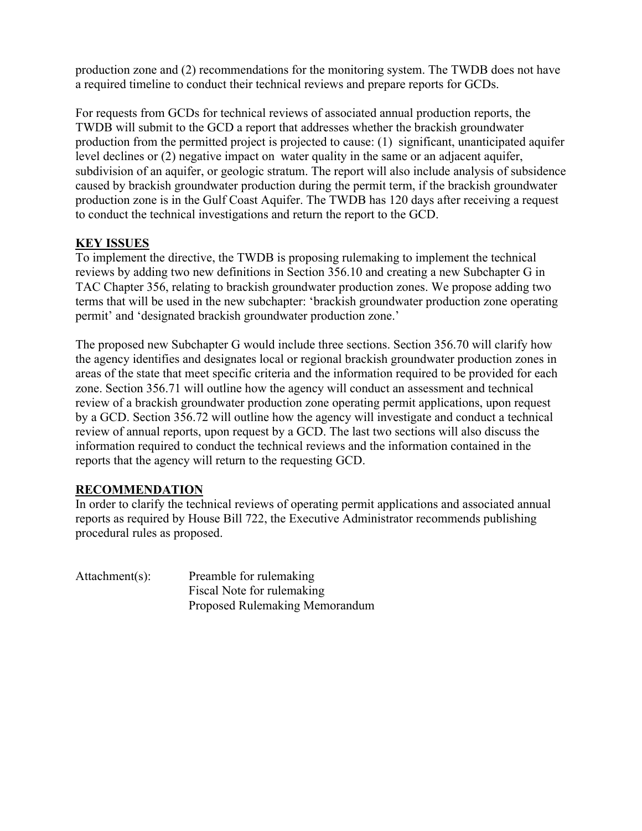production zone and (2) recommendations for the monitoring system. The TWDB does not have a required timeline to conduct their technical reviews and prepare reports for GCDs.

For requests from GCDs for technical reviews of associated annual production reports, the TWDB will submit to the GCD a report that addresses whether the brackish groundwater production from the permitted project is projected to cause: (1) significant, unanticipated aquifer level declines or (2) negative impact on water quality in the same or an adjacent aquifer, subdivision of an aquifer, or geologic stratum. The report will also include analysis of subsidence caused by brackish groundwater production during the permit term, if the brackish groundwater production zone is in the Gulf Coast Aquifer. The TWDB has 120 days after receiving a request to conduct the technical investigations and return the report to the GCD.

# **KEY ISSUES**

To implement the directive, the TWDB is proposing rulemaking to implement the technical reviews by adding two new definitions in Section 356.10 and creating a new Subchapter G in TAC Chapter 356, relating to brackish groundwater production zones. We propose adding two terms that will be used in the new subchapter: 'brackish groundwater production zone operating permit' and 'designated brackish groundwater production zone.'

The proposed new Subchapter G would include three sections. Section 356.70 will clarify how the agency identifies and designates local or regional brackish groundwater production zones in areas of the state that meet specific criteria and the information required to be provided for each zone. Section 356.71 will outline how the agency will conduct an assessment and technical review of a brackish groundwater production zone operating permit applications, upon request by a GCD. Section 356.72 will outline how the agency will investigate and conduct a technical review of annual reports, upon request by a GCD. The last two sections will also discuss the information required to conduct the technical reviews and the information contained in the reports that the agency will return to the requesting GCD.

# **RECOMMENDATION**

In order to clarify the technical reviews of operating permit applications and associated annual reports as required by House Bill 722, the Executive Administrator recommends publishing procedural rules as proposed.

Attachment(s): Preamble for rulemaking Fiscal Note for rulemaking Proposed Rulemaking Memorandum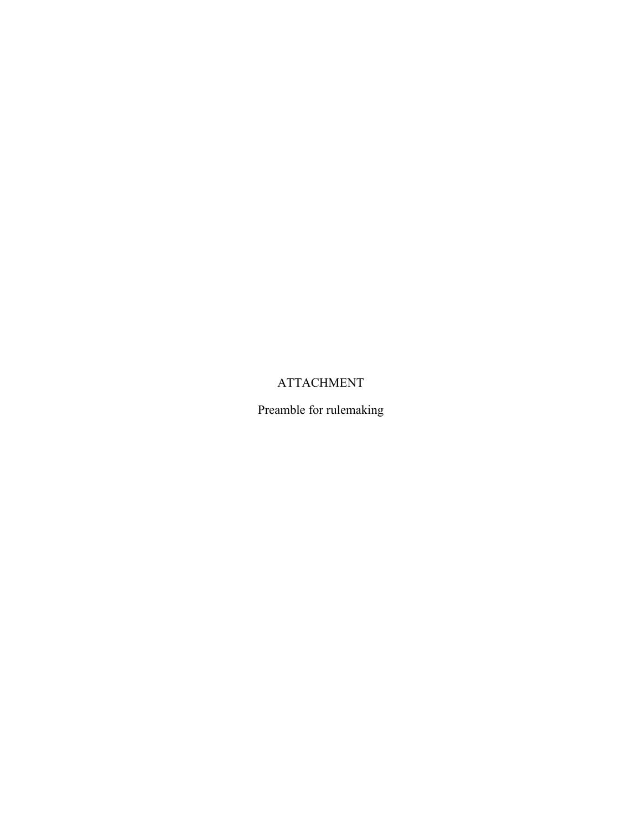# ATTACHMENT

Preamble for rulemaking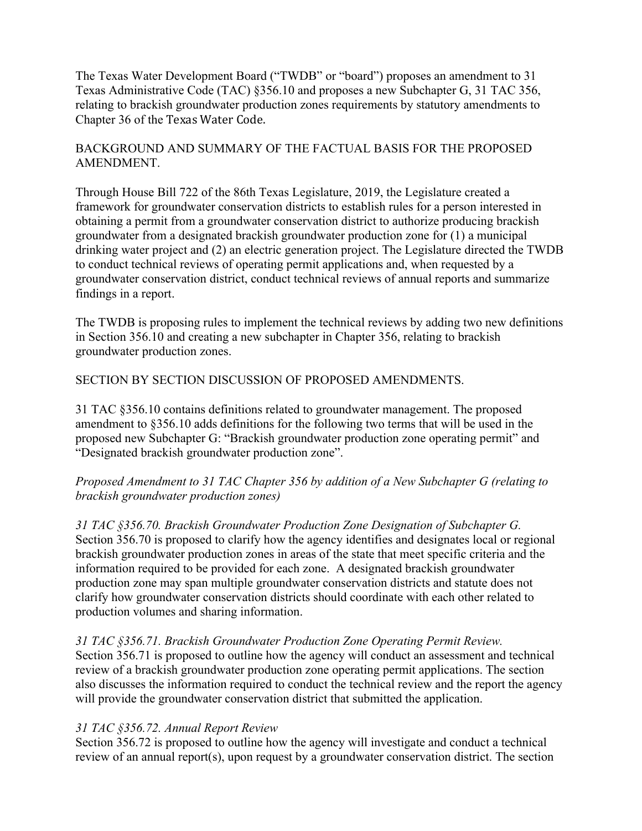The Texas Water Development Board ("TWDB" or "board") proposes an amendment to 31 Texas Administrative Code (TAC) §356.10 and proposes a new Subchapter G, 31 TAC 356, relating to brackish groundwater production zones requirements by statutory amendments to Chapter 36 of the Texas Water Code.

# BACKGROUND AND SUMMARY OF THE FACTUAL BASIS FOR THE PROPOSED AMENDMENT.

Through House Bill 722 of the 86th Texas Legislature, 2019, the Legislature created a framework for groundwater conservation districts to establish rules for a person interested in obtaining a permit from a groundwater conservation district to authorize producing brackish groundwater from a designated brackish groundwater production zone for (1) a municipal drinking water project and (2) an electric generation project. The Legislature directed the TWDB to conduct technical reviews of operating permit applications and, when requested by a groundwater conservation district, conduct technical reviews of annual reports and summarize findings in a report.

The TWDB is proposing rules to implement the technical reviews by adding two new definitions in Section 356.10 and creating a new subchapter in Chapter 356, relating to brackish groundwater production zones.

# SECTION BY SECTION DISCUSSION OF PROPOSED AMENDMENTS.

31 TAC §356.10 contains definitions related to groundwater management. The proposed amendment to §356.10 adds definitions for the following two terms that will be used in the proposed new Subchapter G: "Brackish groundwater production zone operating permit" and "Designated brackish groundwater production zone".

# *Proposed Amendment to 31 TAC Chapter 356 by addition of a New Subchapter G (relating to brackish groundwater production zones)*

*31 TAC §356.70. Brackish Groundwater Production Zone Designation of Subchapter G.*  Section 356.70 is proposed to clarify how the agency identifies and designates local or regional brackish groundwater production zones in areas of the state that meet specific criteria and the information required to be provided for each zone. A designated brackish groundwater production zone may span multiple groundwater conservation districts and statute does not clarify how groundwater conservation districts should coordinate with each other related to production volumes and sharing information.

### *31 TAC §356.71. Brackish Groundwater Production Zone Operating Permit Review.*

Section 356.71 is proposed to outline how the agency will conduct an assessment and technical review of a brackish groundwater production zone operating permit applications. The section also discusses the information required to conduct the technical review and the report the agency will provide the groundwater conservation district that submitted the application.

# *31 TAC §356.72. Annual Report Review*

Section 356.72 is proposed to outline how the agency will investigate and conduct a technical review of an annual report(s), upon request by a groundwater conservation district. The section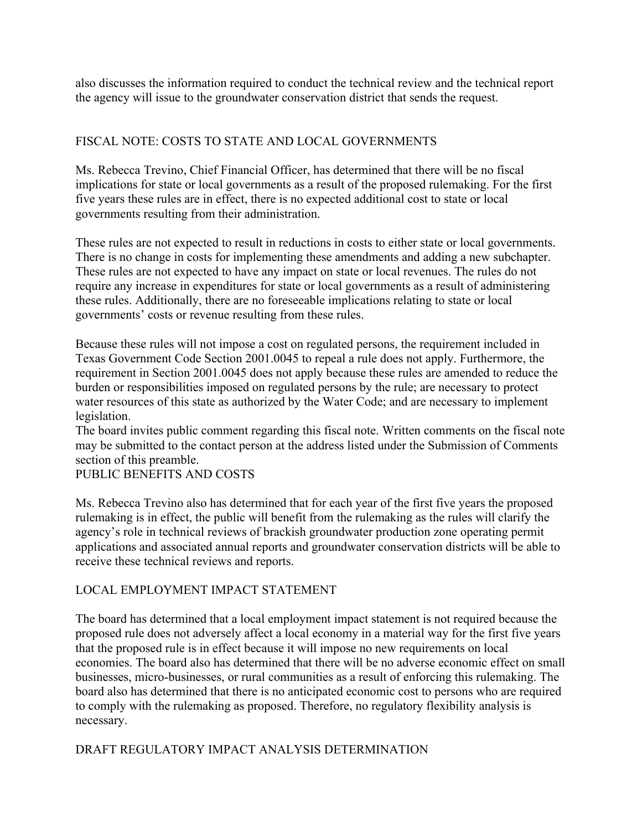also discusses the information required to conduct the technical review and the technical report the agency will issue to the groundwater conservation district that sends the request.

# FISCAL NOTE: COSTS TO STATE AND LOCAL GOVERNMENTS

Ms. Rebecca Trevino, Chief Financial Officer, has determined that there will be no fiscal implications for state or local governments as a result of the proposed rulemaking. For the first five years these rules are in effect, there is no expected additional cost to state or local governments resulting from their administration.

These rules are not expected to result in reductions in costs to either state or local governments. There is no change in costs for implementing these amendments and adding a new subchapter. These rules are not expected to have any impact on state or local revenues. The rules do not require any increase in expenditures for state or local governments as a result of administering these rules. Additionally, there are no foreseeable implications relating to state or local governments' costs or revenue resulting from these rules.

Because these rules will not impose a cost on regulated persons, the requirement included in Texas Government Code Section 2001.0045 to repeal a rule does not apply. Furthermore, the requirement in Section 2001.0045 does not apply because these rules are amended to reduce the burden or responsibilities imposed on regulated persons by the rule; are necessary to protect water resources of this state as authorized by the Water Code; and are necessary to implement legislation.

The board invites public comment regarding this fiscal note. Written comments on the fiscal note may be submitted to the contact person at the address listed under the Submission of Comments section of this preamble.

# PUBLIC BENEFITS AND COSTS

Ms. Rebecca Trevino also has determined that for each year of the first five years the proposed rulemaking is in effect, the public will benefit from the rulemaking as the rules will clarify the agency's role in technical reviews of brackish groundwater production zone operating permit applications and associated annual reports and groundwater conservation districts will be able to receive these technical reviews and reports.

# LOCAL EMPLOYMENT IMPACT STATEMENT

The board has determined that a local employment impact statement is not required because the proposed rule does not adversely affect a local economy in a material way for the first five years that the proposed rule is in effect because it will impose no new requirements on local economies. The board also has determined that there will be no adverse economic effect on small businesses, micro-businesses, or rural communities as a result of enforcing this rulemaking. The board also has determined that there is no anticipated economic cost to persons who are required to comply with the rulemaking as proposed. Therefore, no regulatory flexibility analysis is necessary.

### DRAFT REGULATORY IMPACT ANALYSIS DETERMINATION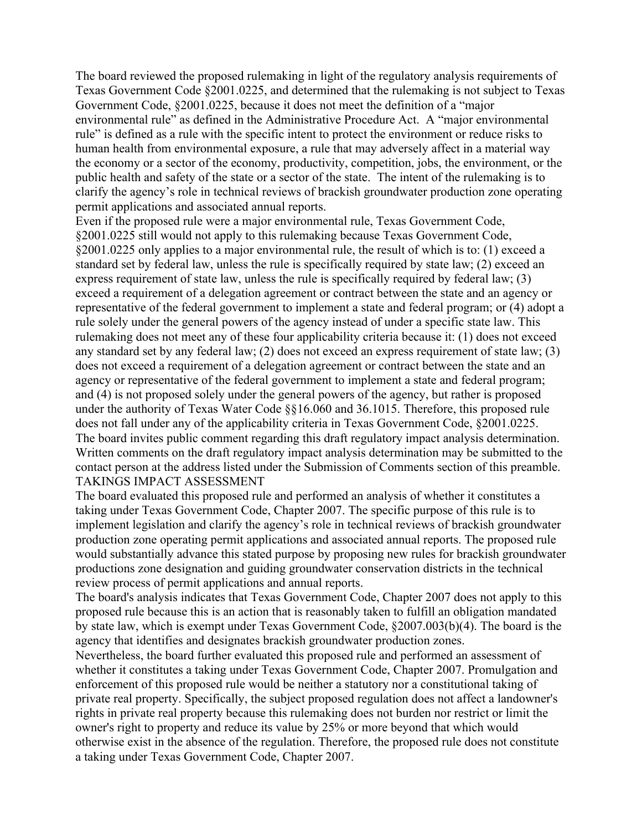The board reviewed the proposed rulemaking in light of the regulatory analysis requirements of Texas Government Code §2001.0225, and determined that the rulemaking is not subject to Texas Government Code, §2001.0225, because it does not meet the definition of a "major environmental rule" as defined in the Administrative Procedure Act. A "major environmental rule" is defined as a rule with the specific intent to protect the environment or reduce risks to human health from environmental exposure, a rule that may adversely affect in a material way the economy or a sector of the economy, productivity, competition, jobs, the environment, or the public health and safety of the state or a sector of the state. The intent of the rulemaking is to clarify the agency's role in technical reviews of brackish groundwater production zone operating permit applications and associated annual reports.

Even if the proposed rule were a major environmental rule, Texas Government Code, §2001.0225 still would not apply to this rulemaking because Texas Government Code, §2001.0225 only applies to a major environmental rule, the result of which is to: (1) exceed a standard set by federal law, unless the rule is specifically required by state law; (2) exceed an express requirement of state law, unless the rule is specifically required by federal law; (3) exceed a requirement of a delegation agreement or contract between the state and an agency or representative of the federal government to implement a state and federal program; or (4) adopt a rule solely under the general powers of the agency instead of under a specific state law. This rulemaking does not meet any of these four applicability criteria because it: (1) does not exceed any standard set by any federal law; (2) does not exceed an express requirement of state law; (3) does not exceed a requirement of a delegation agreement or contract between the state and an agency or representative of the federal government to implement a state and federal program; and (4) is not proposed solely under the general powers of the agency, but rather is proposed under the authority of Texas Water Code §§16.060 and 36.1015. Therefore, this proposed rule does not fall under any of the applicability criteria in Texas Government Code, §2001.0225. The board invites public comment regarding this draft regulatory impact analysis determination. Written comments on the draft regulatory impact analysis determination may be submitted to the contact person at the address listed under the Submission of Comments section of this preamble. TAKINGS IMPACT ASSESSMENT

The board evaluated this proposed rule and performed an analysis of whether it constitutes a taking under Texas Government Code, Chapter 2007. The specific purpose of this rule is to implement legislation and clarify the agency's role in technical reviews of brackish groundwater production zone operating permit applications and associated annual reports. The proposed rule would substantially advance this stated purpose by proposing new rules for brackish groundwater productions zone designation and guiding groundwater conservation districts in the technical review process of permit applications and annual reports.

The board's analysis indicates that Texas Government Code, Chapter 2007 does not apply to this proposed rule because this is an action that is reasonably taken to fulfill an obligation mandated by state law, which is exempt under Texas Government Code, §2007.003(b)(4). The board is the agency that identifies and designates brackish groundwater production zones.

Nevertheless, the board further evaluated this proposed rule and performed an assessment of whether it constitutes a taking under Texas Government Code, Chapter 2007. Promulgation and enforcement of this proposed rule would be neither a statutory nor a constitutional taking of private real property. Specifically, the subject proposed regulation does not affect a landowner's rights in private real property because this rulemaking does not burden nor restrict or limit the owner's right to property and reduce its value by 25% or more beyond that which would otherwise exist in the absence of the regulation. Therefore, the proposed rule does not constitute a taking under Texas Government Code, Chapter 2007.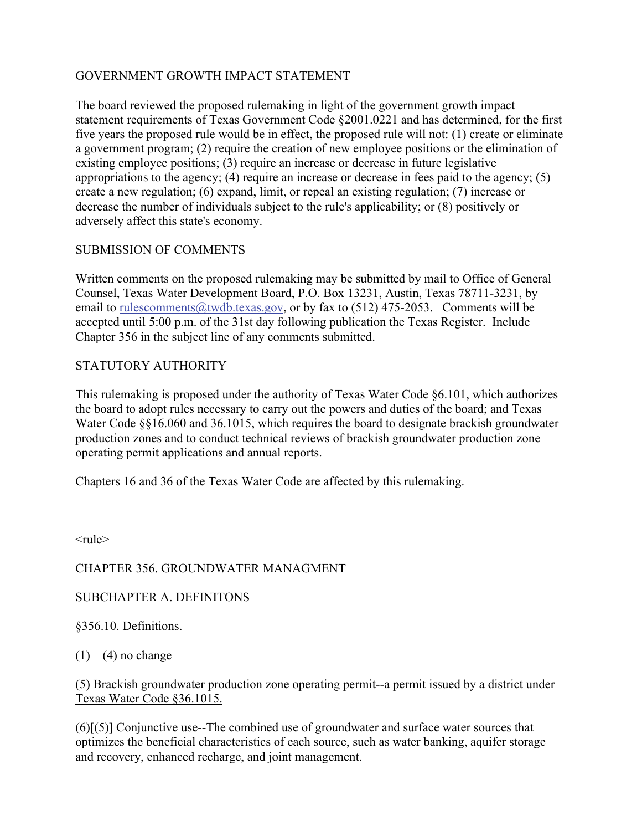# GOVERNMENT GROWTH IMPACT STATEMENT

The board reviewed the proposed rulemaking in light of the government growth impact statement requirements of Texas Government Code §2001.0221 and has determined, for the first five years the proposed rule would be in effect, the proposed rule will not: (1) create or eliminate a government program; (2) require the creation of new employee positions or the elimination of existing employee positions; (3) require an increase or decrease in future legislative appropriations to the agency; (4) require an increase or decrease in fees paid to the agency; (5) create a new regulation; (6) expand, limit, or repeal an existing regulation; (7) increase or decrease the number of individuals subject to the rule's applicability; or (8) positively or adversely affect this state's economy.

# SUBMISSION OF COMMENTS

Written comments on the proposed rulemaking may be submitted by mail to Office of General Counsel, Texas Water Development Board, P.O. Box 13231, Austin, Texas 78711-3231, by email to rulescomments@twdb.texas.gov, or by fax to  $(512)$  475-2053. Comments will be accepted until 5:00 p.m. of the 31st day following publication the Texas Register. Include Chapter 356 in the subject line of any comments submitted.

# STATUTORY AUTHORITY

This rulemaking is proposed under the authority of Texas Water Code §6.101, which authorizes the board to adopt rules necessary to carry out the powers and duties of the board; and Texas Water Code  $\S816.060$  and 36.1015, which requires the board to designate brackish groundwater production zones and to conduct technical reviews of brackish groundwater production zone operating permit applications and annual reports.

Chapters 16 and 36 of the Texas Water Code are affected by this rulemaking.

 $<$ rule $>$ 

# CHAPTER 356. GROUNDWATER MANAGMENT

# SUBCHAPTER A. DEFINITONS

§356.10. Definitions.

 $(1) - (4)$  no change

# (5) Brackish groundwater production zone operating permit--a permit issued by a district under Texas Water Code §36.1015.

 $(6)$ [ $(5)$ ] Conjunctive use--The combined use of groundwater and surface water sources that optimizes the beneficial characteristics of each source, such as water banking, aquifer storage and recovery, enhanced recharge, and joint management.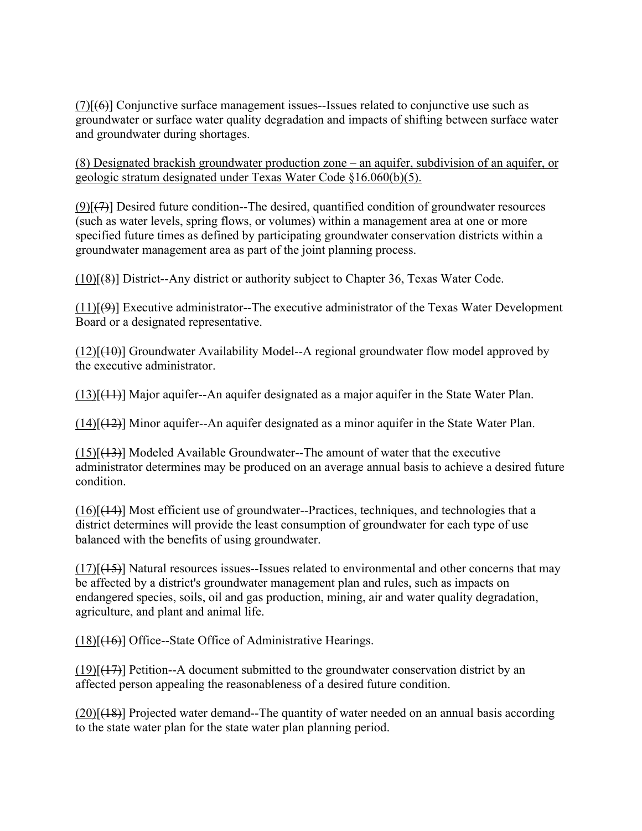$(7)[66]$  Conjunctive surface management issues--Issues related to conjunctive use such as groundwater or surface water quality degradation and impacts of shifting between surface water and groundwater during shortages.

(8) Designated brackish groundwater production zone – an aquifer, subdivision of an aquifer, or geologic stratum designated under Texas Water Code §16.060(b)(5).

 $(9)$ [ $(7)$ ] Desired future condition--The desired, quantified condition of groundwater resources (such as water levels, spring flows, or volumes) within a management area at one or more specified future times as defined by participating groundwater conservation districts within a groundwater management area as part of the joint planning process.

(10)[(8)] District--Any district or authority subject to Chapter 36, Texas Water Code.

 $(11)[(9)]$  Executive administrator--The executive administrator of the Texas Water Development Board or a designated representative.

 $(12)[(10)]$  Groundwater Availability Model--A regional groundwater flow model approved by the executive administrator.

(13)[(11)] Major aquifer--An aquifer designated as a major aquifer in the State Water Plan.

 $(14)[(12)]$  Minor aquifer--An aquifer designated as a minor aquifer in the State Water Plan.

 $(15)[(13)]$  Modeled Available Groundwater--The amount of water that the executive administrator determines may be produced on an average annual basis to achieve a desired future condition.

 $(16)[(14)]$  Most efficient use of groundwater--Practices, techniques, and technologies that a district determines will provide the least consumption of groundwater for each type of use balanced with the benefits of using groundwater.

 $(17)[(15)]$  Natural resources issues--Issues related to environmental and other concerns that may be affected by a district's groundwater management plan and rules, such as impacts on endangered species, soils, oil and gas production, mining, air and water quality degradation, agriculture, and plant and animal life.

(18)[(16)] Office--State Office of Administrative Hearings.

 $(19)[(17)]$  Petition--A document submitted to the groundwater conservation district by an affected person appealing the reasonableness of a desired future condition.

 $(20)[(18)]$  Projected water demand--The quantity of water needed on an annual basis according to the state water plan for the state water plan planning period.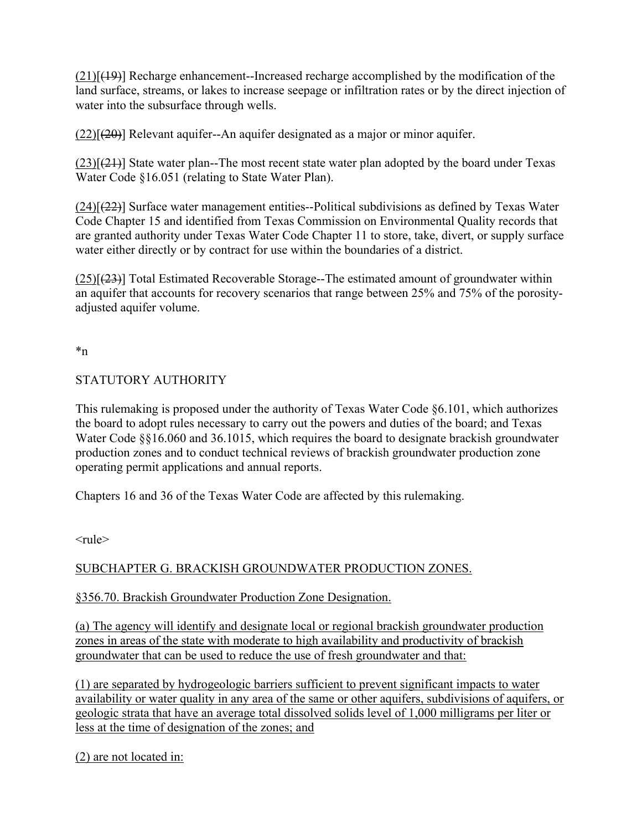$(21)[(19)]$  Recharge enhancement--Increased recharge accomplished by the modification of the land surface, streams, or lakes to increase seepage or infiltration rates or by the direct injection of water into the subsurface through wells.

 $(22)[(20)]$  Relevant aquifer--An aquifer designated as a major or minor aquifer.

 $(23)[(21)]$  State water plan--The most recent state water plan adopted by the board under Texas Water Code §16.051 (relating to State Water Plan).

 $(24)[(22)]$  Surface water management entities--Political subdivisions as defined by Texas Water Code Chapter 15 and identified from Texas Commission on Environmental Quality records that are granted authority under Texas Water Code Chapter 11 to store, take, divert, or supply surface water either directly or by contract for use within the boundaries of a district.

 $(25)[(23)]$  Total Estimated Recoverable Storage--The estimated amount of groundwater within an aquifer that accounts for recovery scenarios that range between 25% and 75% of the porosityadjusted aquifer volume.

\*n

# STATUTORY AUTHORITY

This rulemaking is proposed under the authority of Texas Water Code §6.101, which authorizes the board to adopt rules necessary to carry out the powers and duties of the board; and Texas Water Code §§16.060 and 36.1015, which requires the board to designate brackish groundwater production zones and to conduct technical reviews of brackish groundwater production zone operating permit applications and annual reports.

Chapters 16 and 36 of the Texas Water Code are affected by this rulemaking.

 $<$ rule $>$ 

# SUBCHAPTER G. BRACKISH GROUNDWATER PRODUCTION ZONES.

# §356.70. Brackish Groundwater Production Zone Designation.

(a) The agency will identify and designate local or regional brackish groundwater production zones in areas of the state with moderate to high availability and productivity of brackish groundwater that can be used to reduce the use of fresh groundwater and that:

(1) are separated by hydrogeologic barriers sufficient to prevent significant impacts to water availability or water quality in any area of the same or other aquifers, subdivisions of aquifers, or geologic strata that have an average total dissolved solids level of 1,000 milligrams per liter or less at the time of designation of the zones; and

(2) are not located in: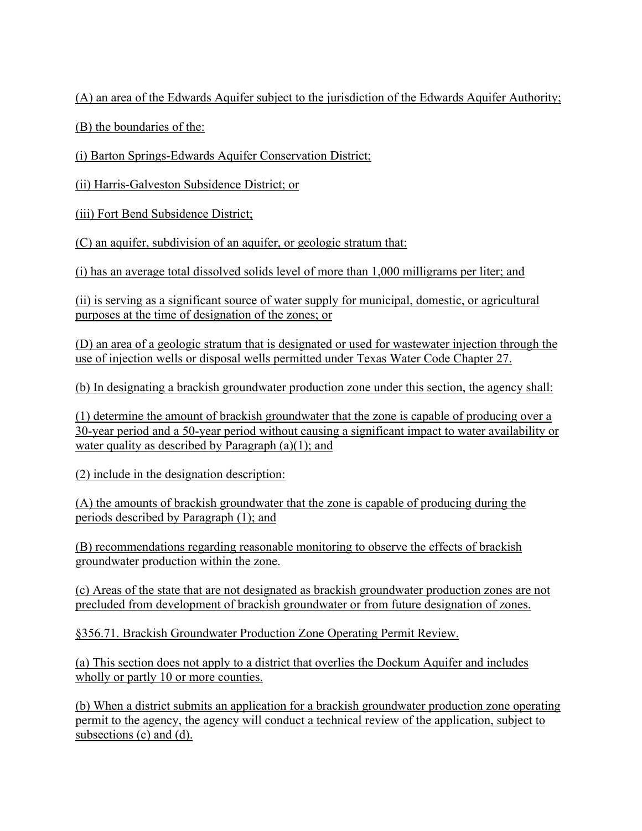(A) an area of the Edwards Aquifer subject to the jurisdiction of the Edwards Aquifer Authority;

(B) the boundaries of the:

(i) Barton Springs-Edwards Aquifer Conservation District;

(ii) Harris-Galveston Subsidence District; or

(iii) Fort Bend Subsidence District;

(C) an aquifer, subdivision of an aquifer, or geologic stratum that:

(i) has an average total dissolved solids level of more than 1,000 milligrams per liter; and

(ii) is serving as a significant source of water supply for municipal, domestic, or agricultural purposes at the time of designation of the zones; or

(D) an area of a geologic stratum that is designated or used for wastewater injection through the use of injection wells or disposal wells permitted under Texas Water Code Chapter 27.

(b) In designating a brackish groundwater production zone under this section, the agency shall:

(1) determine the amount of brackish groundwater that the zone is capable of producing over a 30-year period and a 50-year period without causing a significant impact to water availability or water quality as described by Paragraph  $(a)(1)$ ; and

(2) include in the designation description:

(A) the amounts of brackish groundwater that the zone is capable of producing during the periods described by Paragraph (1); and

(B) recommendations regarding reasonable monitoring to observe the effects of brackish groundwater production within the zone.

(c) Areas of the state that are not designated as brackish groundwater production zones are not precluded from development of brackish groundwater or from future designation of zones.

§356.71. Brackish Groundwater Production Zone Operating Permit Review.

(a) This section does not apply to a district that overlies the Dockum Aquifer and includes wholly or partly 10 or more counties.

(b) When a district submits an application for a brackish groundwater production zone operating permit to the agency, the agency will conduct a technical review of the application, subject to subsections (c) and (d).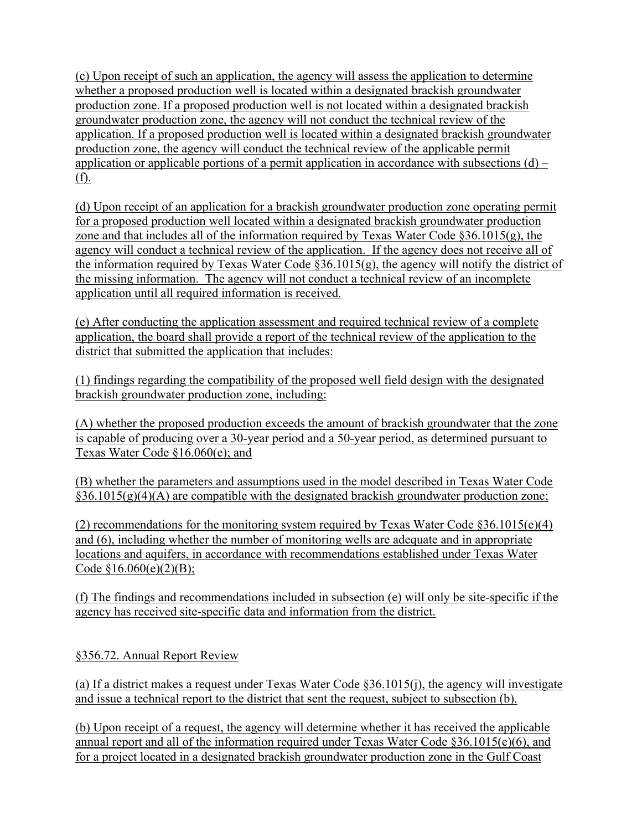(c) Upon receipt of such an application, the agency will assess the application to determine whether a proposed production well is located within a designated brackish groundwater production zone. If a proposed production well is not located within a designated brackish groundwater production zone, the agency will not conduct the technical review of the application. If a proposed production well is located within a designated brackish groundwater production zone, the agency will conduct the technical review of the applicable permit application or applicable portions of a permit application in accordance with subsections  $(d)$  – (f).

(d) Upon receipt of an application for a brackish groundwater production zone operating permit for a proposed production well located within a designated brackish groundwater production zone and that includes all of the information required by Texas Water Code §36.1015(g), the agency will conduct a technical review of the application. If the agency does not receive all of the information required by Texas Water Code  $\S 36.1015(g)$ , the agency will notify the district of the missing information. The agency will not conduct a technical review of an incomplete application until all required information is received.

(e) After conducting the application assessment and required technical review of a complete application, the board shall provide a report of the technical review of the application to the district that submitted the application that includes:

(1) findings regarding the compatibility of the proposed well field design with the designated brackish groundwater production zone, including:

(A) whether the proposed production exceeds the amount of brackish groundwater that the zone is capable of producing over a 30-year period and a 50-year period, as determined pursuant to Texas Water Code §16.060(e); and

(B) whether the parameters and assumptions used in the model described in Texas Water Code  $§36.1015(g)(4)$  are compatible with the designated brackish groundwater production zone;

(2) recommendations for the monitoring system required by Texas Water Code §36.1015(e)(4) and (6), including whether the number of monitoring wells are adequate and in appropriate locations and aquifers, in accordance with recommendations established under Texas Water Code  $$16.060(e)(2)(B);$ 

(f) The findings and recommendations included in subsection (e) will only be site-specific if the agency has received site-specific data and information from the district.

§356.72. Annual Report Review

(a) If a district makes a request under Texas Water Code §36.1015(j), the agency will investigate and issue a technical report to the district that sent the request, subject to subsection (b).

(b) Upon receipt of a request, the agency will determine whether it has received the applicable annual report and all of the information required under Texas Water Code §36.1015(e)(6), and for a project located in a designated brackish groundwater production zone in the Gulf Coast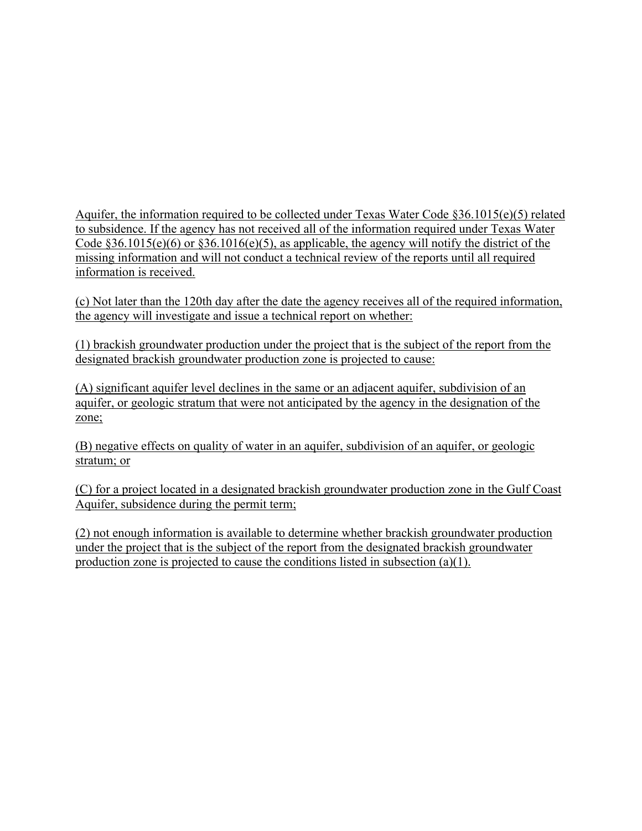Aquifer, the information required to be collected under Texas Water Code §36.1015(e)(5) related to subsidence. If the agency has not received all of the information required under Texas Water Code  $§36.1015(e)(6)$  or  $§36.1016(e)(5)$ , as applicable, the agency will notify the district of the missing information and will not conduct a technical review of the reports until all required information is received.

(c) Not later than the 120th day after the date the agency receives all of the required information, the agency will investigate and issue a technical report on whether:

(1) brackish groundwater production under the project that is the subject of the report from the designated brackish groundwater production zone is projected to cause:

(A) significant aquifer level declines in the same or an adjacent aquifer, subdivision of an aquifer, or geologic stratum that were not anticipated by the agency in the designation of the zone;

(B) negative effects on quality of water in an aquifer, subdivision of an aquifer, or geologic stratum; or

(C) for a project located in a designated brackish groundwater production zone in the Gulf Coast Aquifer, subsidence during the permit term;

(2) not enough information is available to determine whether brackish groundwater production under the project that is the subject of the report from the designated brackish groundwater production zone is projected to cause the conditions listed in subsection (a)(1).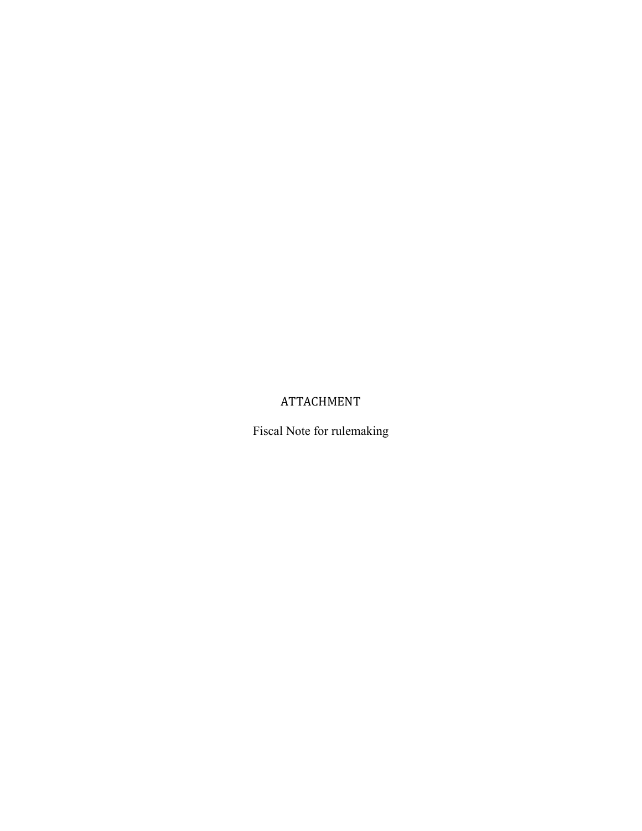# ATTACHMENT

Fiscal Note for rulemaking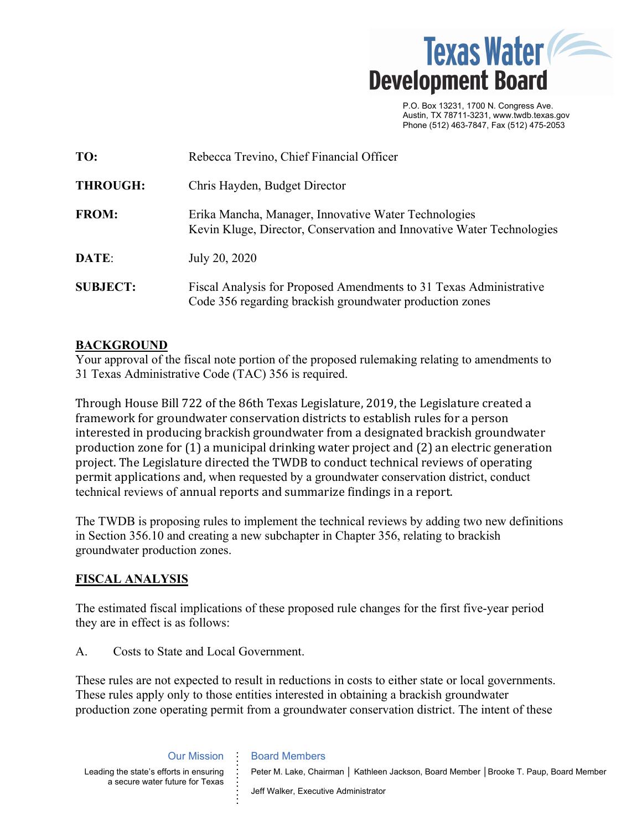

 P.O. Box 13231, 1700 N. Congress Ave. Austin, TX 78711-3231, www.twdb.texas.gov Phone (512) 463-7847, Fax (512) 475-2053

| TO:             | Rebecca Trevino, Chief Financial Officer                                                                                       |
|-----------------|--------------------------------------------------------------------------------------------------------------------------------|
| <b>THROUGH:</b> | Chris Hayden, Budget Director                                                                                                  |
| <b>FROM:</b>    | Erika Mancha, Manager, Innovative Water Technologies<br>Kevin Kluge, Director, Conservation and Innovative Water Technologies  |
| DATE:           | July 20, 2020                                                                                                                  |
| <b>SUBJECT:</b> | Fiscal Analysis for Proposed Amendments to 31 Texas Administrative<br>Code 356 regarding brackish groundwater production zones |

# **BACKGROUND**

Your approval of the fiscal note portion of the proposed rulemaking relating to amendments to 31 Texas Administrative Code (TAC) 356 is required.

Through House Bill 722 of the 86th Texas Legislature, 2019, the Legislature created a framework for groundwater conservation districts to establish rules for a person interested in producing brackish groundwater from a designated brackish groundwater production zone for (1) a municipal drinking water project and (2) an electric generation project. The Legislature directed the TWDB to conduct technical reviews of operating permit applications and, when requested by a groundwater conservation district, conduct technical reviews of annual reports and summarize findings in a report.

The TWDB is proposing rules to implement the technical reviews by adding two new definitions in Section 356.10 and creating a new subchapter in Chapter 356, relating to brackish groundwater production zones.

# **FISCAL ANALYSIS**

The estimated fiscal implications of these proposed rule changes for the first five-year period they are in effect is as follows:

A. Costs to State and Local Government.

These rules are not expected to result in reductions in costs to either state or local governments. These rules apply only to those entities interested in obtaining a brackish groundwater production zone operating permit from a groundwater conservation district. The intent of these

> Our Mission **. . . .**

**. . . . . . . . .** 

Leading the state's efforts in ensuring a secure water future for Texas Peter M. Lake, Chairman | Kathleen Jackson, Board Member | Brooke T. Paup, Board Member

Jeff Walker, Executive Administrator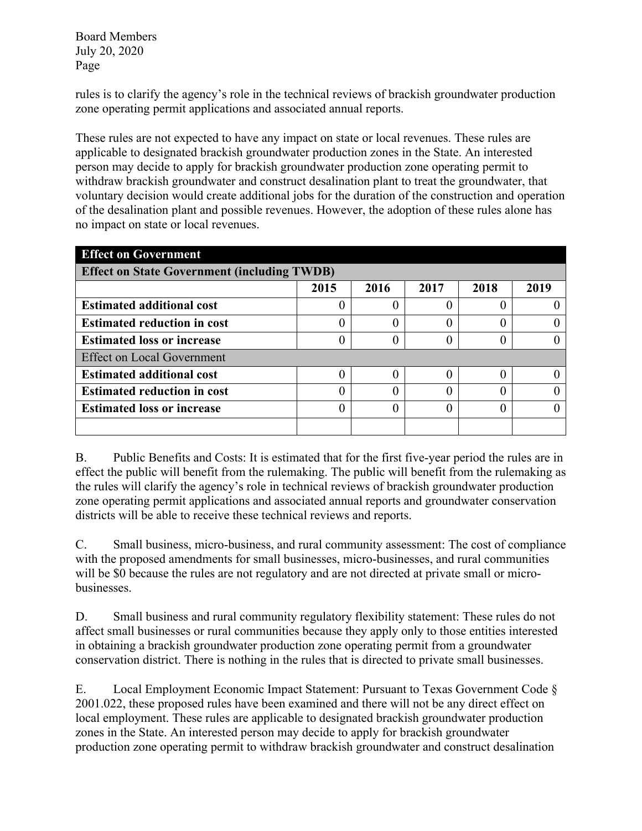Board Members July 20, 2020 Page

rules is to clarify the agency's role in the technical reviews of brackish groundwater production zone operating permit applications and associated annual reports.

These rules are not expected to have any impact on state or local revenues. These rules are applicable to designated brackish groundwater production zones in the State. An interested person may decide to apply for brackish groundwater production zone operating permit to withdraw brackish groundwater and construct desalination plant to treat the groundwater, that voluntary decision would create additional jobs for the duration of the construction and operation of the desalination plant and possible revenues. However, the adoption of these rules alone has no impact on state or local revenues.

| <b>Effect on Government</b>                        |      |      |      |      |      |  |  |  |
|----------------------------------------------------|------|------|------|------|------|--|--|--|
| <b>Effect on State Government (including TWDB)</b> |      |      |      |      |      |  |  |  |
|                                                    | 2015 | 2016 | 2017 | 2018 | 2019 |  |  |  |
| <b>Estimated additional cost</b>                   |      |      |      |      |      |  |  |  |
| <b>Estimated reduction in cost</b>                 |      |      |      |      |      |  |  |  |
| <b>Estimated loss or increase</b>                  |      |      |      |      |      |  |  |  |
| <b>Effect on Local Government</b>                  |      |      |      |      |      |  |  |  |
| <b>Estimated additional cost</b>                   |      |      |      |      |      |  |  |  |
| <b>Estimated reduction in cost</b>                 |      |      |      |      |      |  |  |  |
| <b>Estimated loss or increase</b>                  |      |      |      |      |      |  |  |  |
|                                                    |      |      |      |      |      |  |  |  |

B. Public Benefits and Costs: It is estimated that for the first five-year period the rules are in effect the public will benefit from the rulemaking. The public will benefit from the rulemaking as the rules will clarify the agency's role in technical reviews of brackish groundwater production zone operating permit applications and associated annual reports and groundwater conservation districts will be able to receive these technical reviews and reports.

C. Small business, micro-business, and rural community assessment: The cost of compliance with the proposed amendments for small businesses, micro-businesses, and rural communities will be \$0 because the rules are not regulatory and are not directed at private small or microbusinesses.

D. Small business and rural community regulatory flexibility statement: These rules do not affect small businesses or rural communities because they apply only to those entities interested in obtaining a brackish groundwater production zone operating permit from a groundwater conservation district. There is nothing in the rules that is directed to private small businesses.

E. Local Employment Economic Impact Statement: Pursuant to Texas Government Code § 2001.022, these proposed rules have been examined and there will not be any direct effect on local employment. These rules are applicable to designated brackish groundwater production zones in the State. An interested person may decide to apply for brackish groundwater production zone operating permit to withdraw brackish groundwater and construct desalination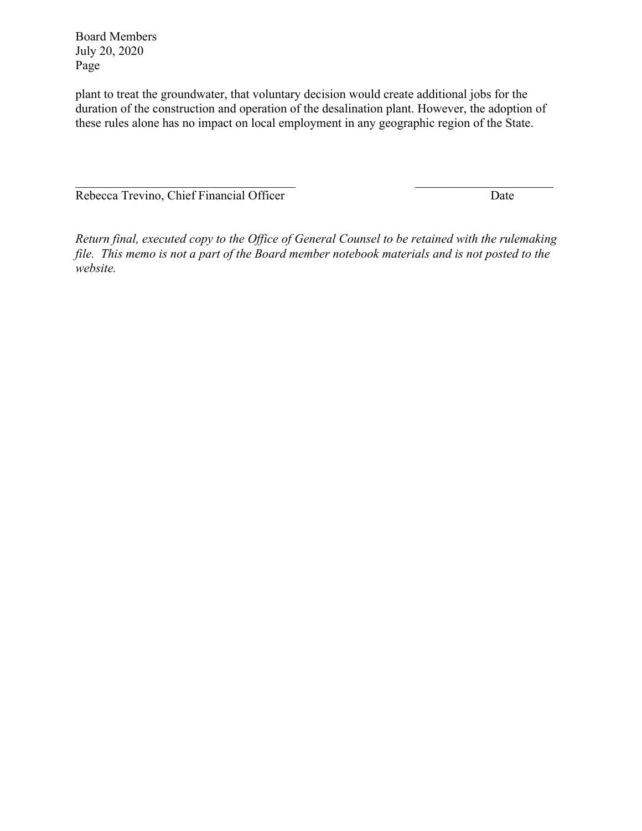Board Members July 20, 2020 Page

plant to treat the groundwater, that voluntary decision would create additional jobs for the duration of the construction and operation of the desalination plant. However, the adoption of these rules alone has no impact on local employment in any geographic region of the State.

Rebecca Trevino, Chief Financial Officer Date

*Return final, executed copy to the Office of General Counsel to be retained with the rulemaking file. This memo is not a part of the Board member notebook materials and is not posted to the website.* 

 $\_$  , and the state of the state of the state of the state of the state of the state of the state of the state of the state of the state of the state of the state of the state of the state of the state of the state of the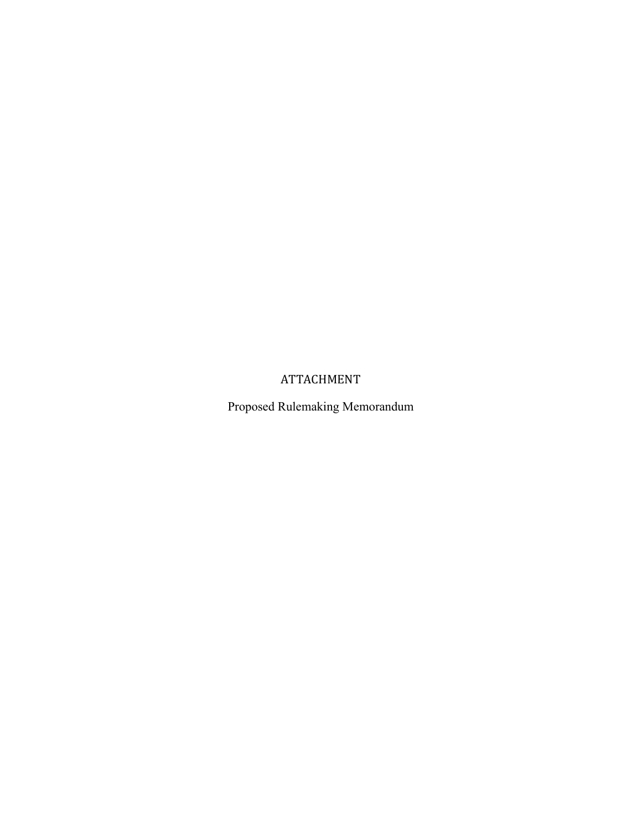# ATTACHMENT

Proposed Rulemaking Memorandum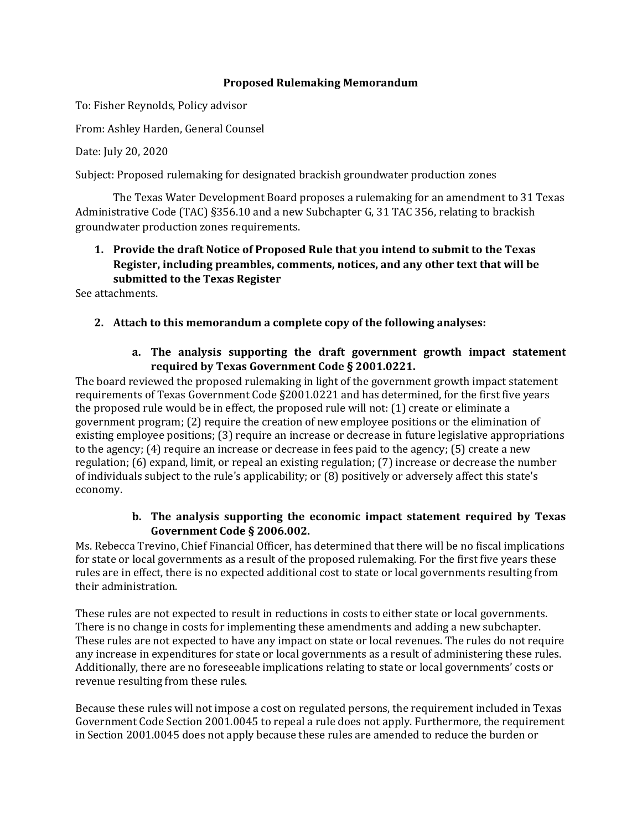#### **Proposed Rulemaking Memorandum**

To: Fisher Reynolds, Policy advisor

From: Ashley Harden, General Counsel

Date: July 20, 2020

Subject: Proposed rulemaking for designated brackish groundwater production zones

The Texas Water Development Board proposes a rulemaking for an amendment to 31 Texas Administrative Code (TAC) §356.10 and a new Subchapter G, 31 TAC 356, relating to brackish groundwater production zones requirements.

# **1. Provide the draft Notice of Proposed Rule that you intend to submit to the Texas Register, including preambles, comments, notices, and any other text that will be submitted to the Texas Register**

See attachments.

# **2. Attach to this memorandum a complete copy of the following analyses:**

# **a. The analysis supporting the draft government growth impact statement required by Texas Government Code § 2001.0221.**

The board reviewed the proposed rulemaking in light of the government growth impact statement requirements of Texas Government Code §2001.0221 and has determined, for the first five years the proposed rule would be in effect, the proposed rule will not: (1) create or eliminate a government program; (2) require the creation of new employee positions or the elimination of existing employee positions; (3) require an increase or decrease in future legislative appropriations to the agency; (4) require an increase or decrease in fees paid to the agency; (5) create a new regulation; (6) expand, limit, or repeal an existing regulation; (7) increase or decrease the number of individuals subject to the rule's applicability; or (8) positively or adversely affect this state's economy.

# **b. The analysis supporting the economic impact statement required by Texas Government Code § 2006.002.**

Ms. Rebecca Trevino, Chief Financial Officer, has determined that there will be no fiscal implications for state or local governments as a result of the proposed rulemaking. For the first five years these rules are in effect, there is no expected additional cost to state or local governments resulting from their administration.

These rules are not expected to result in reductions in costs to either state or local governments. There is no change in costs for implementing these amendments and adding a new subchapter. These rules are not expected to have any impact on state or local revenues. The rules do not require any increase in expenditures for state or local governments as a result of administering these rules. Additionally, there are no foreseeable implications relating to state or local governments' costs or revenue resulting from these rules.

Because these rules will not impose a cost on regulated persons, the requirement included in Texas Government Code Section 2001.0045 to repeal a rule does not apply. Furthermore, the requirement in Section 2001.0045 does not apply because these rules are amended to reduce the burden or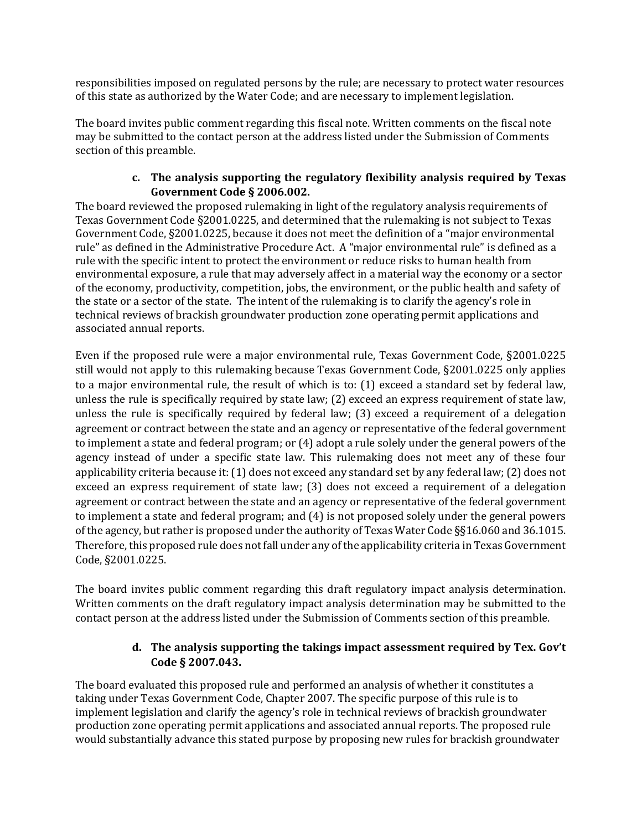responsibilities imposed on regulated persons by the rule; are necessary to protect water resources of this state as authorized by the Water Code; and are necessary to implement legislation.

The board invites public comment regarding this fiscal note. Written comments on the fiscal note may be submitted to the contact person at the address listed under the Submission of Comments section of this preamble.

# **c. The analysis supporting the regulatory flexibility analysis required by Texas Government Code § 2006.002.**

The board reviewed the proposed rulemaking in light of the regulatory analysis requirements of Texas Government Code §2001.0225, and determined that the rulemaking is not subject to Texas Government Code, §2001.0225, because it does not meet the definition of a "major environmental rule" as defined in the Administrative Procedure Act. A "major environmental rule" is defined as a rule with the specific intent to protect the environment or reduce risks to human health from environmental exposure, a rule that may adversely affect in a material way the economy or a sector of the economy, productivity, competition, jobs, the environment, or the public health and safety of the state or a sector of the state. The intent of the rulemaking is to clarify the agency's role in technical reviews of brackish groundwater production zone operating permit applications and associated annual reports.

Even if the proposed rule were a major environmental rule, Texas Government Code, §2001.0225 still would not apply to this rulemaking because Texas Government Code, §2001.0225 only applies to a major environmental rule, the result of which is to: (1) exceed a standard set by federal law, unless the rule is specifically required by state law; (2) exceed an express requirement of state law, unless the rule is specifically required by federal law; (3) exceed a requirement of a delegation agreement or contract between the state and an agency or representative of the federal government to implement a state and federal program; or (4) adopt a rule solely under the general powers of the agency instead of under a specific state law. This rulemaking does not meet any of these four applicability criteria because it: (1) does not exceed any standard set by any federal law; (2) does not exceed an express requirement of state law; (3) does not exceed a requirement of a delegation agreement or contract between the state and an agency or representative of the federal government to implement a state and federal program; and (4) is not proposed solely under the general powers of the agency, but rather is proposed under the authority of Texas Water Code §§16.060 and 36.1015. Therefore, this proposed rule does not fall under any of the applicability criteria in Texas Government Code, §2001.0225.

The board invites public comment regarding this draft regulatory impact analysis determination. Written comments on the draft regulatory impact analysis determination may be submitted to the contact person at the address listed under the Submission of Comments section of this preamble.

### **d. The analysis supporting the takings impact assessment required by Tex. Gov't Code § 2007.043.**

The board evaluated this proposed rule and performed an analysis of whether it constitutes a taking under Texas Government Code, Chapter 2007. The specific purpose of this rule is to implement legislation and clarify the agency's role in technical reviews of brackish groundwater production zone operating permit applications and associated annual reports. The proposed rule would substantially advance this stated purpose by proposing new rules for brackish groundwater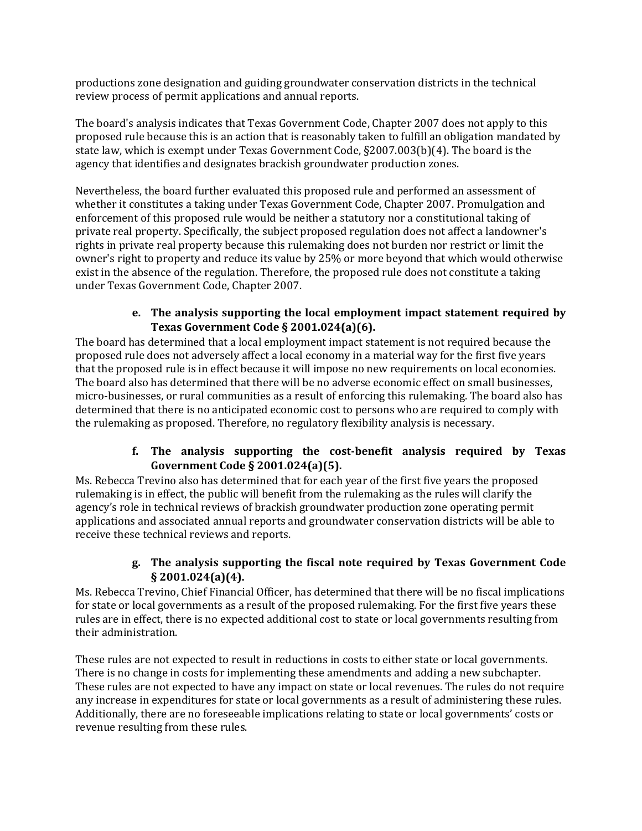productions zone designation and guiding groundwater conservation districts in the technical review process of permit applications and annual reports.

The board's analysis indicates that Texas Government Code, Chapter 2007 does not apply to this proposed rule because this is an action that is reasonably taken to fulfill an obligation mandated by state law, which is exempt under Texas Government Code, §2007.003(b)(4). The board is the agency that identifies and designates brackish groundwater production zones.

Nevertheless, the board further evaluated this proposed rule and performed an assessment of whether it constitutes a taking under Texas Government Code, Chapter 2007. Promulgation and enforcement of this proposed rule would be neither a statutory nor a constitutional taking of private real property. Specifically, the subject proposed regulation does not affect a landowner's rights in private real property because this rulemaking does not burden nor restrict or limit the owner's right to property and reduce its value by 25% or more beyond that which would otherwise exist in the absence of the regulation. Therefore, the proposed rule does not constitute a taking under Texas Government Code, Chapter 2007.

### **e. The analysis supporting the local employment impact statement required by Texas Government Code § 2001.024(a)(6).**

The board has determined that a local employment impact statement is not required because the proposed rule does not adversely affect a local economy in a material way for the first five years that the proposed rule is in effect because it will impose no new requirements on local economies. The board also has determined that there will be no adverse economic effect on small businesses, micro-businesses, or rural communities as a result of enforcing this rulemaking. The board also has determined that there is no anticipated economic cost to persons who are required to comply with the rulemaking as proposed. Therefore, no regulatory flexibility analysis is necessary.

# **f. The analysis supporting the cost‐benefit analysis required by Texas Government Code § 2001.024(a)(5).**

Ms. Rebecca Trevino also has determined that for each year of the first five years the proposed rulemaking is in effect, the public will benefit from the rulemaking as the rules will clarify the agency's role in technical reviews of brackish groundwater production zone operating permit applications and associated annual reports and groundwater conservation districts will be able to receive these technical reviews and reports.

# **g. The analysis supporting the fiscal note required by Texas Government Code § 2001.024(a)(4).**

Ms. Rebecca Trevino, Chief Financial Officer, has determined that there will be no fiscal implications for state or local governments as a result of the proposed rulemaking. For the first five years these rules are in effect, there is no expected additional cost to state or local governments resulting from their administration.

These rules are not expected to result in reductions in costs to either state or local governments. There is no change in costs for implementing these amendments and adding a new subchapter. These rules are not expected to have any impact on state or local revenues. The rules do not require any increase in expenditures for state or local governments as a result of administering these rules. Additionally, there are no foreseeable implications relating to state or local governments' costs or revenue resulting from these rules.